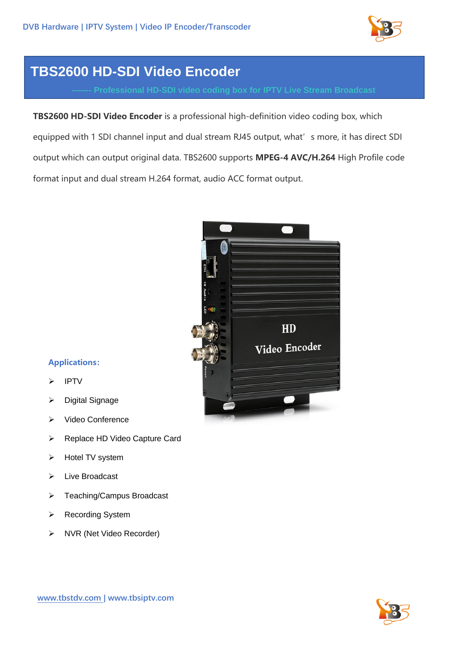

## **TBS2600 HD-SDI Video Encoder**

**TBS2600 HD-SDI Video Encoder** is a professional high-definition video coding box, which equipped with 1 SDI channel input and dual stream RJ45 output, what's more, it has direct SDI output which can output original data. TBS2600 supports **MPEG-4 AVC/H.264** High Profile code format input and dual stream H.264 format, audio ACC format output.



## **Applications:**

- **IPTV**
- ➢ Digital Signage
- ➢ Video Conference
- ➢ Replace HD Video Capture Card
- ➢ Hotel TV system
- ➢ Live Broadcast
- ➢ Teaching/Campus Broadcast
- ➢ Recording System
- ➢ NVR (Net Video Recorder)